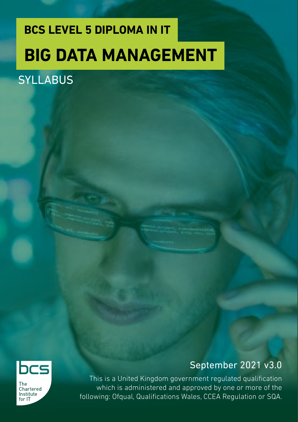# **BCS LEVEL 5 DIPLOMA IN IT BIG DATA MANAGEMENT**

### **SYLLABUS**



The Chartered Institute for IT

### September 2021 v3.0

This is a United Kingdom government regulated qualification which is administered and approved by one or more of the following: Ofqual, Qualifications Wales, CCEA Regulation or SQA.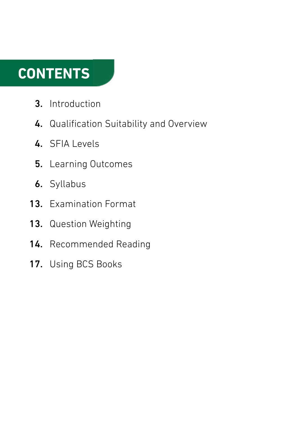### **CONTENTS**

- Introduction 3.
- 4. Qualification Suitability and Overview
- 4. SFIA Levels
- 5. Learning Outcomes
- **6.** Syllabus
- 13. Examination Format
- 13. Question Weighting
- 14. Recommended Reading
- 17. Using BCS Books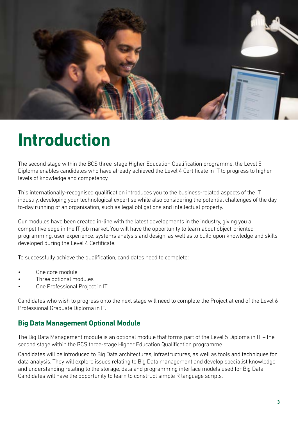

### **Introduction**

The second stage within the BCS three-stage Higher Education Qualification programme, the Level 5 Diploma enables candidates who have already achieved the Level 4 Certificate in IT to progress to higher levels of knowledge and competency.

This internationally-recognised qualification introduces you to the business-related aspects of the IT industry, developing your technological expertise while also considering the potential challenges of the dayto-day running of an organisation, such as legal obligations and intellectual property.

Our modules have been created in-line with the latest developments in the industry, giving you a competitive edge in the IT job market. You will have the opportunity to learn about object-oriented programming, user experience, systems analysis and design, as well as to build upon knowledge and skills developed during the Level 4 Certificate.

To successfully achieve the qualification, candidates need to complete:

- One core module
- Three optional modules
- One Professional Project in IT

Candidates who wish to progress onto the next stage will need to complete the Project at end of the Level 6 Professional Graduate Diploma in IT.

#### **Big Data Management Optional Module**

The Big Data Management module is an optional module that forms part of the Level 5 Diploma in IT – the second stage within the BCS three-stage Higher Education Qualification programme.

Candidates will be introduced to Big Data architectures, infrastructures, as well as tools and techniques for data analysis. They will explore issues relating to Big Data management and develop specialist knowledge and understanding relating to the storage, data and programming interface models used for Big Data. Candidates will have the opportunity to learn to construct simple R language scripts.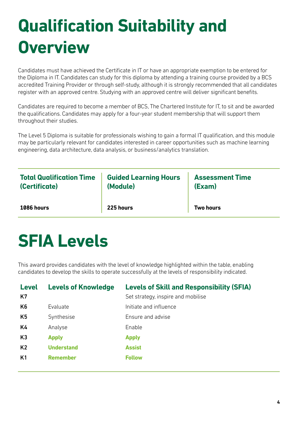## **Qualification Suitability and Overview**

Candidates must have achieved the Certificate in IT or have an appropriate exemption to be entered for the Diploma in IT. Candidates can study for this diploma by attending a training course provided by a BCS accredited Training Provider or through self-study, although it is strongly recommended that all candidates register with an approved centre. Studying with an approved centre will deliver significant benefits.

Candidates are required to become a member of BCS, The Chartered Institute for IT, to sit and be awarded the qualifications. Candidates may apply for a four-year student membership that will support them throughout their studies.

The Level 5 Diploma is suitable for professionals wishing to gain a formal IT qualification, and this module may be particularly relevant for candidates interested in career opportunities such as machine learning engineering, data architecture, data analysis, or business/analytics translation.

| <b>Total Qualification Time</b> | <b>Guided Learning Hours</b> | <b>Assessment Time</b> |
|---------------------------------|------------------------------|------------------------|
| (Certificate)                   | (Module)                     | (Exam)                 |
| 1086 hours                      | 225 hours                    | <b>Two hours</b>       |

### **SFIA Levels**

This award provides candidates with the level of knowledge highlighted within the table, enabling candidates to develop the skills to operate successfully at the levels of responsibility indicated.

| <b>Level</b><br>K7 | <b>Levels of Knowledge</b> | <b>Levels of Skill and Responsibility (SFIA)</b><br>Set strategy, inspire and mobilise |
|--------------------|----------------------------|----------------------------------------------------------------------------------------|
| K <sub>6</sub>     | Evaluate                   | Initiate and influence                                                                 |
| K <sub>5</sub>     | Synthesise                 | Ensure and advise                                                                      |
| K4                 | Analyse                    | Enable                                                                                 |
| K <sub>3</sub>     | <b>Apply</b>               | <b>Apply</b>                                                                           |
| K <sub>2</sub>     | <b>Understand</b>          | <b>Assist</b>                                                                          |
| K1                 | <b>Remember</b>            | <b>Follow</b>                                                                          |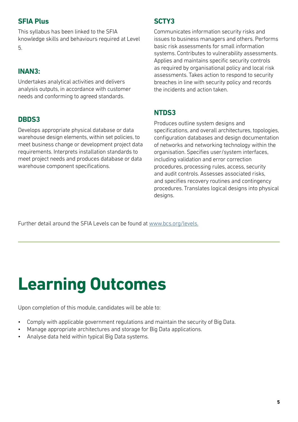#### **SFIA Plus**

This syllabus has been linked to the SFIA knowledge skills and behaviours required at Level 5.

#### **INAN3:**

Undertakes analytical activities and delivers analysis outputs, in accordance with customer needs and conforming to agreed standards.

#### **DBDS3**

Develops appropriate physical database or data warehouse design elements, within set policies, to meet business change or development project data requirements. Interprets installation standards to meet project needs and produces database or data warehouse component specifications.

#### **SCTY3**

Communicates information security risks and issues to business managers and others. Performs basic risk assessments for small information systems. Contributes to vulnerability assessments. Applies and maintains specific security controls as required by organisational policy and local risk assessments. Takes action to respond to security breaches in line with security policy and records the incidents and action taken.

#### **NTDS3**

Produces outline system designs and specifications, and overall architectures, topologies, configuration databases and design documentation of networks and networking technology within the organisation. Specifies user/system interfaces, including validation and error correction procedures, processing rules, access, security and audit controls. Assesses associated risks, and specifies recovery routines and contingency procedures. Translates logical designs into physical designs.

Further detail around the SFIA Levels can be found at [www.bcs.org/levels.](https://www.bcs.org/media/5165/sfia-levels-knowledge.pdf)

### **Learning Outcomes**

Upon completion of this module, candidates will be able to:

- Comply with applicable government regulations and maintain the security of Big Data.
- Manage appropriate architectures and storage for Big Data applications.
- Analyse data held within typical Big Data systems.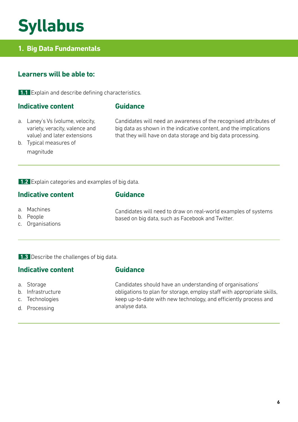### **Syllabus**

#### **1. Big Data Fundamentals**

#### **Learners will be able to:**

**1.1** Explain and describe defining characteristics.

#### **Indicative content**

#### **Guidance**

**Guidance**

**Guidance**

a. Laney's Vs (volume, velocity, variety, veracity, valence and value) and later extensions

Candidates will need an awareness of the recognised attributes of big data as shown in the indicative content, and the implications that they will have on data storage and big data processing.

b. Typical measures of magnitude

**1.2** Explain categories and examples of big data.

#### **Indicative content**

- a. Machines
- b. People
- c. Organisations

Candidates will need to draw on real-world examples of systems based on big data, such as Facebook and Twitter.

**1.3** Describe the challenges of big data.

#### **Indicative content**

- a. Storage
- b. Infrastructure
- c. Technologies
- d. Processing

Candidates should have an understanding of organisations' obligations to plan for storage, employ staff with appropriate skills, keep up-to-date with new technology, and efficiently process and analyse data.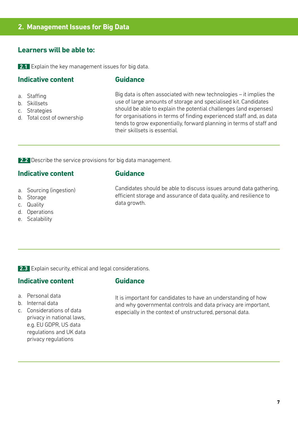#### **2. Management Issues for Big Data**

#### **Learners will be able to:**

**2.1** Explain the key management issues for big data.

#### **Indicative content**

#### **Guidance**

- a. Staffing
- b. Skillsets
- c. Strategies
- d. Total cost of ownership

Big data is often associated with new technologies – it implies the use of large amounts of storage and specialised kit. Candidates should be able to explain the potential challenges (and expenses) for organisations in terms of finding experienced staff and, as data tends to grow exponentially, forward planning in terms of staff and their skillsets is essential.

**2.2** Describe the service provisions for big data management.

#### **Indicative content**

#### **Guidance**

- a. Sourcing (ingestion)
- b. Storage
- c. Quality
- d. Operations
- e. Scalability

Candidates should be able to discuss issues around data gathering, efficient storage and assurance of data quality, and resilience to data growth.

**2.3** Explain security, ethical and legal considerations.

#### **Indicative content**

c. Considerations of data privacy in national laws, e.g. EU GDPR, US data regulations and UK data privacy regulations

a. Personal data b. Internal data

#### **Guidance**

It is important for candidates to have an understanding of how and why governmental controls and data privacy are important, especially in the context of unstructured, personal data.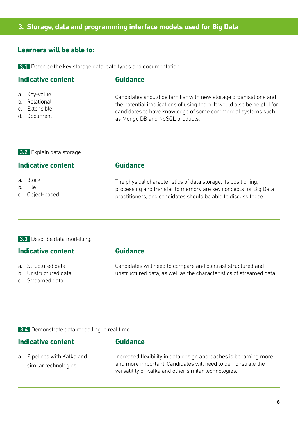#### **3. Storage, data and programming interface models used for Big Data**

#### **Learners will be able to:**

**3.1** Describe the key storage data, data types and documentation.

#### **Indicative content**

#### **Guidance**

- a. Key-value
- b. Relational
- c. Extensible
- d. Document

Candidates should be familiar with new storage organisations and the potential implications of using them. It would also be helpful for candidates to have knowledge of some commercial systems such as Mongo DB and NoSQL products.

**3.2** Explain data storage.

#### **Indicative content**

- a. Block
- b. File
- c. Object-based

**Guidance**

The physical characteristics of data storage, its positioning, processing and transfer to memory are key concepts for Big Data practitioners, and candidates should be able to discuss these.

#### **3.3** Describe data modelling.

#### **Indicative content**

- a. Structured data
- b. Unstructured data
- c. Streamed data

**Guidance**

**Guidance**

Candidates will need to compare and contrast structured and unstructured data, as well as the characteristics of streamed data.

**3.4** Demonstrate data modelling in real time.

#### **Indicative content**

a. Pipelines with Kafka and similar technologies

Increased flexibility in data design approaches is becoming more and more important. Candidates will need to demonstrate the versatility of Kafka and other similar technologies.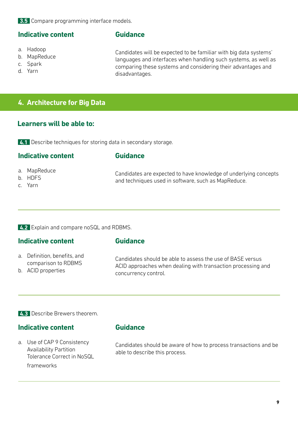**3.5** Compare programming interface models.

#### **Indicative content**

- a. Hadoop
- b. MapReduce
- c. Spark
- d. Yarn

**Guidance**

Candidates will be expected to be familiar with big data systems' languages and interfaces when handling such systems, as well as comparing these systems and considering their advantages and disadvantages.

#### **4. Architecture for Big Data**

#### **Learners will be able to:**

**4.1** Describe techniques for storing data in secondary storage.

#### **Indicative content**

#### **Guidance**

- a. MapReduce
- b. HDFS
- c. Yarn

Candidates are expected to have knowledge of underlying concepts and techniques used in software, such as MapReduce.

**4.2** Explain and compare noSQL and RDBMS.

#### **Indicative content**

#### **Guidance**

- a. Definition, benefits, and comparison to RDBMS
- b. ACID properties

Candidates should be able to assess the use of BASE versus ACID approaches when dealing with transaction processing and concurrency control.

**4.3** Describe Brewers theorem.

#### **Indicative content**

a. Use of CAP 9 Consistency Availability Partition Tolerance Correct in NoSQL frameworks

**Guidance**

Candidates should be aware of how to process transactions and be able to describe this process.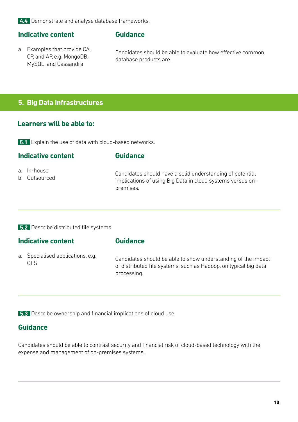**4.4** Demonstrate and analyse database frameworks.

#### **Indicative content**

- **Guidance**
- a. Examples that provide CA, CP, and AP, e.g. MongoDB, MySQL, and Cassandra

Candidates should be able to evaluate how effective common database products are.

#### **5. Big Data infrastructures**

#### **Learners will be able to:**

**5.1** Explain the use of data with cloud-based networks.

#### **Indicative content**

#### **Guidance**

- a. In-house
- b. Outsourced

Candidates should have a solid understanding of potential implications of using Big Data in cloud systems versus onpremises.

**5.2** Describe distributed file systems.

#### **Indicative content**

#### **Guidance**

a. Specialised applications, e.g. GFS

Candidates should be able to show understanding of the impact of distributed file systems, such as Hadoop, on typical big data processing.

**5.3** Describe ownership and financial implications of cloud use.

#### **Guidance**

Candidates should be able to contrast security and financial risk of cloud-based technology with the expense and management of on-premises systems.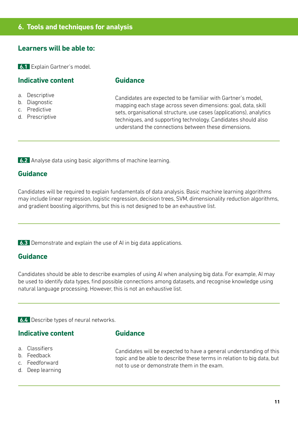#### **Learners will be able to:**

**6.1** Explain Gartner's model.

#### **Indicative content**

- a. Descriptive
- b. Diagnostic
- c. Predictive
- d. Prescriptive

**Guidance**

Candidates are expected to be familiar with Gartner's model, mapping each stage across seven dimensions: goal, data, skill sets, organisational structure, use cases (applications), analytics techniques, and supporting technology. Candidates should also understand the connections between these dimensions.

**6.2** Analyse data using basic algorithms of machine learning.

#### **Guidance**

Candidates will be required to explain fundamentals of data analysis. Basic machine learning algorithms may include linear regression, logistic regression, decision trees, SVM, dimensionality reduction algorithms, and gradient boosting algorithms, but this is not designed to be an exhaustive list.

**6.3** Demonstrate and explain the use of AI in big data applications.

#### **Guidance**

Candidates should be able to describe examples of using AI when analysing big data. For example, AI may be used to identify data types, find possible connections among datasets, and recognise knowledge using natural language processing. However, this is not an exhaustive list.

**6.4** Describe types of neural networks.

#### **Indicative content**

- a. Classifiers
- b. Feedback
- c. Feedforward
- d. Deep learning

**Guidance**

Candidates will be expected to have a general understanding of this topic and be able to describe these terms in relation to big data, but not to use or demonstrate them in the exam.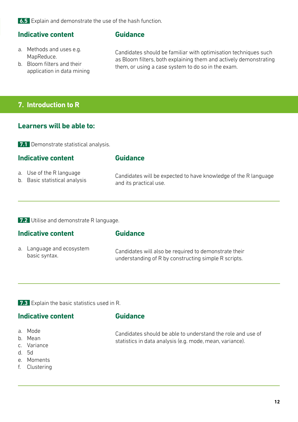**6.5** Explain and demonstrate the use of the hash function.

#### **Indicative content**

#### **Guidance**

- a. Methods and uses e.g. MapReduce.
- b. Bloom filters and their application in data mining

Candidates should be familiar with optimisation techniques such as Bloom filters, both explaining them and actively demonstrating them, or using a case system to do so in the exam.

#### **7. Introduction to R**

#### **Learners will be able to:**

**7.1** Demonstrate statistical analysis.

#### **Indicative content**

#### **Guidance**

- a. Use of the R language
- b. Basic statistical analysis

Candidates will be expected to have knowledge of the R language and its practical use.

**7.2** Utilise and demonstrate R language.

#### **Indicative content**

#### **Guidance**

- a. Language and ecosystem basic syntax. Candidates will also be required to demonstrate their understanding of R by constructing simple R scripts.
- **7.3** Explain the basic statistics used in R.

#### **Indicative content**

- a. Mode
- b. Mean
- c. Variance
- d. 5d
- e. Moments
- f. Clustering

#### **Guidance**

Candidates should be able to understand the role and use of statistics in data analysis (e.g. mode, mean, variance).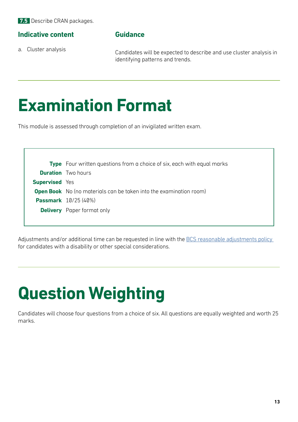**7.5** Describe CRAN packages.

#### **Indicative content**

a. Cluster analysis

#### **Guidance**

Candidates will be expected to describe and use cluster analysis in identifying patterns and trends.

### **Examination Format**

This module is assessed through completion of an invigilated written exam.

**Type** Four written questions from a choice of six, each with equal marks **Duration** Two hours **Supervised** Yes **Open Book** No (no materials can be taken into the examination room) **Passmark** 10/25 (40%) **Delivery** Paper format only

Adjustments and/or additional time can be requested in line with the BCS reasonable adjustments policy for candidates with a disability or other special considerations.

### **Question Weighting**

Candidates will choose four questions from a choice of six. All questions are equally weighted and worth 25 marks.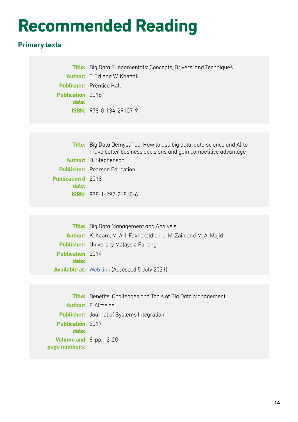### **Recommended Reading**

### **Primary texts**

|                         | <b>Title:</b> Big Data Fundamentals: Concepts, Drivers, and Techniques. |
|-------------------------|-------------------------------------------------------------------------|
|                         | <b>Author:</b> T. Erl and W. Khattak                                    |
|                         | <b>Publisher:</b> Prentice Hall                                         |
| <b>Publication</b> 2016 |                                                                         |
| date:                   |                                                                         |
|                         | <b>ISBN:</b> $978-0-134-29107-9$                                        |
|                         |                                                                         |

|                           | <b>Title:</b> Big Data Demystified: How to use big data, data science and AI to<br>make better business decisions and gain competitive advantage |
|---------------------------|--------------------------------------------------------------------------------------------------------------------------------------------------|
|                           | <b>Author:</b> D. Stephenson                                                                                                                     |
|                           | <b>Publisher:</b> Pearson Education                                                                                                              |
| <b>Publication d</b> 2018 |                                                                                                                                                  |
| date:                     |                                                                                                                                                  |
|                           | <b>ISBN:</b> $978-1-292-21810-6$                                                                                                                 |
|                           |                                                                                                                                                  |

|                         | <b>Title:</b> Big Data Management and Analysis                            |
|-------------------------|---------------------------------------------------------------------------|
|                         | <b>Author:</b> K. Adam, M. A. I. Fakharaldien, J. M. Zain and M. A. Majid |
|                         | <b>Publisher:</b> University Malaysia Pahang                              |
| <b>Publication</b> 2014 |                                                                           |
| date:                   |                                                                           |
|                         | <b>Available at:</b> Web link (Accessed 5 July 2021)                      |

|                                                    | <b>Title:</b> Benefits, Challenges and Tools of Big Data Management |
|----------------------------------------------------|---------------------------------------------------------------------|
|                                                    | <b>Author:</b> F. Almeida                                           |
|                                                    | <b>Publisher:</b> Journal of Systems Integration                    |
| <b>Publication</b> 2017                            |                                                                     |
| date:                                              |                                                                     |
| <b>Volume and</b> $8$ , pp. 12-20<br>page numbers: |                                                                     |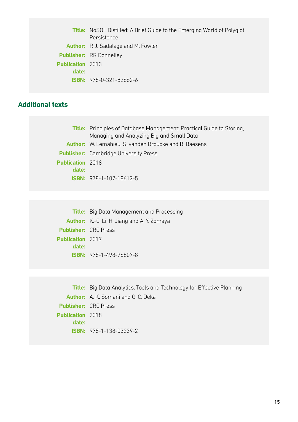**Title:** NoSQL Distilled: A Brief Guide to the Emerging World of Polyglot Persistence **Author:** P. J. Sadalage and M. Fowler **Publisher:** RR Donnelley **Publication**  2013 **date: ISBN:** 978-0-321-82662-6

#### **Additional texts**

**Title:** Principles of Database Management: Practical Guide to Storing, Managing and Analyzing Big and Small Data **Author:** W. Lemahieu, S. vanden Broucke and B. Baesens **Publisher:** Cambridge University Press **Publication**  2018 **date: ISBN:** 978-1-107-18612-5

**Title:** Big Data Management and Processing **Author:** K.-C. Li, H. Jiang and A. Y. Zomaya **Publisher:** CRC Press **Publication**  2017 **date: ISBN:** 978-1-498-76807-8

**Title:** Big Data Analytics. Tools and Technology for Effective Planning **Author:** A. K. Somani and G. C. Deka **Publisher:** CRC Press **Publication**  2018 **date: ISBN:** 978-1-138-03239-2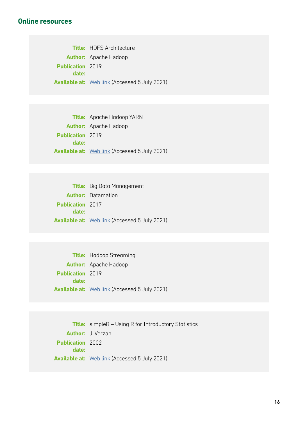#### **Online resources**

**Title:** HDFS Architecture **Author:** Apache Hadoop **Publication**  2019 **date: Available at:** [Web link](https://hadoop.apache.org/docs/r3.2.1/hadoop-project-dist/hadoop-hdfs/HdfsDesign.html) (Accessed 5 July 2021)

**Title:** Apache Hadoop YARN **Author:** Apache Hadoop **Publication**  2019 **date: Available at:** [Web link](https://hadoop.apache.org/docs/r3.2.1/hadoop-yarn/hadoop-yarn-site/YARN.html) (Accessed 5 July 2021)

|                         | <b>Title:</b> Big Data Management                    |
|-------------------------|------------------------------------------------------|
|                         | <b>Author:</b> Datamation                            |
| <b>Publication</b> 2017 |                                                      |
| date:                   |                                                      |
|                         | <b>Available at:</b> Web link (Accessed 5 July 2021) |

|                         | <b>Title:</b> Hadoop Streaming                       |
|-------------------------|------------------------------------------------------|
|                         | <b>Author:</b> Apache Hadoop                         |
| <b>Publication</b> 2019 |                                                      |
| date:                   |                                                      |
|                         | <b>Available at:</b> Web link (Accessed 5 July 2021) |

**Title:** simpleR – Using R for Introductory Statistics **Author:** J. Verzani **Publication**  2002 **date: Available at:** [Web link](https://cran.r-project.org/doc/contrib/Verzani-SimpleR.pdf) (Accessed 5 July 2021)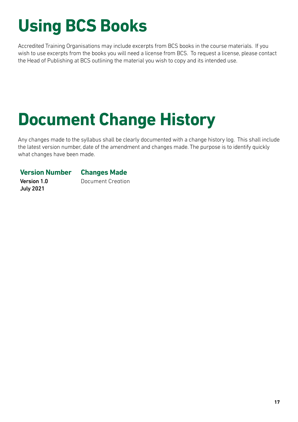# **Using BCS Books**

Accredited Training Organisations may include excerpts from BCS books in the course materials. If you wish to use excerpts from the books you will need a license from BCS. To request a license, please contact the Head of Publishing at BCS outlining the material you wish to copy and its intended use.

### **Document Change History**

Any changes made to the syllabus shall be clearly documented with a change history log. This shall include the latest version number, date of the amendment and changes made. The purpose is to identify quickly what changes have been made.

#### **Version Number Changes Made**

Version 1.0 July 2021

Document Creation